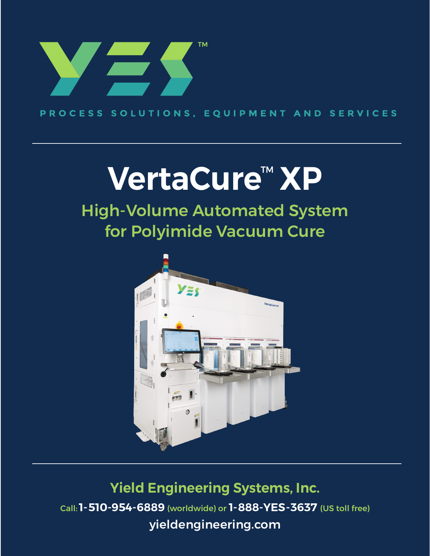

PROCESS SOLUTIONS, EQUIPMENT AND SERVICES

# VertaCure<sup>™</sup> XP

# High-Volume Automated System for Polyimide Vacuum Cure



**Yield Engineering Systems, Inc.** Call:**1-510-954-6889** (worldwide) or **1-888-YES-3637** (US toll free) [yieldengineering.com](http://yieldengineering.com)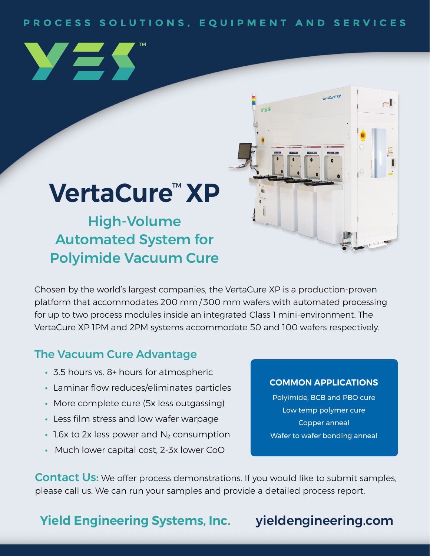### PROCESS SOLUTIONS, EQUIPMENT AND SERVICES

 $v \le 5$ 





High-Volume Automated System for Polyimide Vacuum Cure

Chosen by the world's largest companies, the VertaCure XP is a production-proven platform that accommodates 200 mm / 300 mm wafers with automated processing for up to two process modules inside an integrated Class 1 mini-environment. The VertaCure XP 1PM and 2PM systems accommodate 50 and 100 wafers respectively.

### The Vacuum Cure Advantage

- **•** 3.5 hours vs. 8+ hours for atmospheric
- **•** Laminar flow reduces/eliminates particles
- **•** More complete cure (5x less outgassing)
- **•** Less film stress and low wafer warpage
- 1.6x to 2x less power and N<sub>2</sub> consumption
- **•** Much lower capital cost, 2-3x lower CoO

### **COMMON APPLICATIONS**

rtaCure<sup>-</sup>XP

 $-1$ 

Polyimide, BCB and PBO cure Low temp polymer cure Copper anneal Wafer to wafer bonding anneal

**Contact Us:** We offer process demonstrations. If you would like to submit samples, please call us. We can run your samples and provide a detailed process report.

# **Yield Engineering Systems, Inc.** [yieldengineering.com](http://yieldengineering.com) **Yield Engineering Systems, Inc.** [yieldengineering.com](http://yieldengineering.com)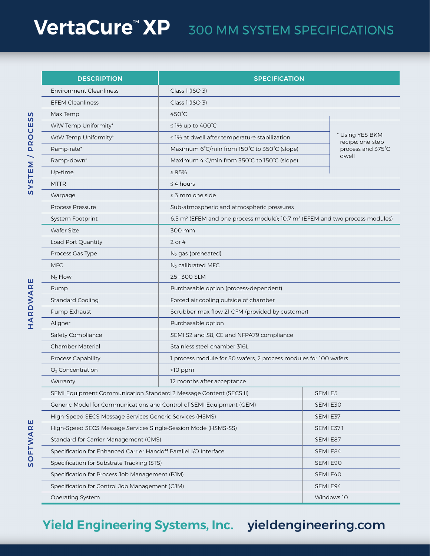# **VertaCure<sup>™</sup> XP** 300 MM SYSTEM SPECIFICATIONS

| <b>DESCRIPTION</b>                                                   | <b>SPECIFICATION</b>                                                                                 |                   |
|----------------------------------------------------------------------|------------------------------------------------------------------------------------------------------|-------------------|
| <b>Environment Cleanliness</b>                                       | Class 1 (ISO 3)                                                                                      |                   |
| <b>EFEM Cleanliness</b>                                              | Class 1 (ISO 3)                                                                                      |                   |
| Max Temp                                                             | $450^{\circ}$ C                                                                                      |                   |
| WiW Temp Uniformity*                                                 | $\leq$ 1% up to 400°C                                                                                |                   |
| WtW Temp Uniformity*                                                 | * Using YES BKM<br>≤ 1% at dwell after temperature stabilization                                     |                   |
| Ramp-rate*                                                           | recipe: one-step<br>process and 375°C<br>Maximum 6°C/min from 150°C to 350°C (slope)                 |                   |
| Ramp-down*                                                           | dwell<br>Maximum 4°C/min from 350°C to 150°C (slope)                                                 |                   |
| Up-time                                                              | $\geq 95\%$                                                                                          |                   |
| <b>MTTR</b>                                                          | $\leq$ 4 hours                                                                                       |                   |
| Warpage                                                              | $\leq$ 3 mm one side                                                                                 |                   |
| Process Pressure                                                     | Sub-atmospheric and atmospheric pressures                                                            |                   |
| <b>System Footprint</b>                                              | 6.5 m <sup>2</sup> (EFEM and one process module); 10.7 m <sup>2</sup> (EFEM and two process modules) |                   |
| <b>Wafer Size</b>                                                    | 300 mm                                                                                               |                   |
| Load Port Quantity                                                   | 2 or 4                                                                                               |                   |
| Process Gas Type                                                     | N <sub>2</sub> gas (preheated)                                                                       |                   |
| <b>MFC</b>                                                           | N <sub>2</sub> calibrated MFC                                                                        |                   |
| $N_2$ Flow                                                           | 25-300 SLM                                                                                           |                   |
| Pump                                                                 | Purchasable option (process-dependent)                                                               |                   |
| <b>Standard Cooling</b>                                              | Forced air cooling outside of chamber                                                                |                   |
| Pump Exhaust                                                         | Scrubber-max flow 21 CFM (provided by customer)                                                      |                   |
| Aligner                                                              | Purchasable option                                                                                   |                   |
| Safety Compliance                                                    | SEMI S2 and S8, CE and NFPA79 compliance                                                             |                   |
| Chamber Material                                                     | Stainless steel chamber 316L                                                                         |                   |
| Process Capability                                                   | 1 process module for 50 wafers, 2 process modules for 100 wafers                                     |                   |
| O <sub>2</sub> Concentration                                         | <10 ppm                                                                                              |                   |
| Warranty                                                             | 12 months after acceptance                                                                           |                   |
| SEMI Equipment Communication Standard 2 Message Content (SECS II)    |                                                                                                      | SEMI E5           |
| Generic Model for Communications and Control of SEMI Equipment (GEM) |                                                                                                      | SEMI E30          |
| High-Speed SECS Message Services Generic Services (HSMS)             |                                                                                                      | SEMI E37          |
| High-Speed SECS Message Services Single-Session Mode (HSMS-SS)       |                                                                                                      | <b>SEMI E37.1</b> |
| Standard for Carrier Management (CMS)                                |                                                                                                      | SEMI E87          |
| Specification for Enhanced Carrier Handoff Parallel I/O Interface    |                                                                                                      | SEMI E84          |
| Specification for Substrate Tracking (STS)                           |                                                                                                      | SEMI E90          |
| Specification for Process Job Management (PJM)                       |                                                                                                      | SEMI E40          |
| Specification for Control Job Management (CJM)                       |                                                                                                      | SEMI E94          |
| Operating System                                                     |                                                                                                      | Windows 10        |

# **Yield Engineering Systems, Inc.** [yieldengineering.com](http://yieldengineering.com) **Yield Engineering Systems, Inc.** [yieldengineering.com](http://yieldengineering.com)